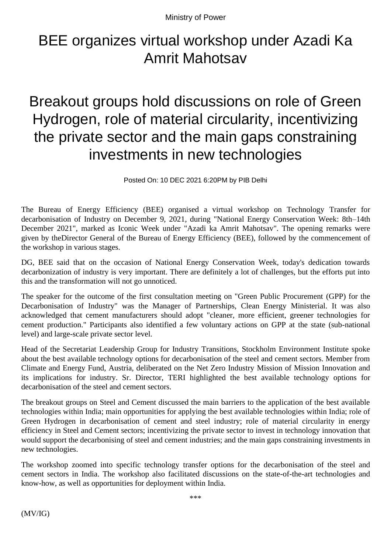Ministry of Power

## BEE organizes virtual workshop under Azadi Ka Amrit Mahotsav

Breakout groups hold discussions on role of Green Hydrogen, role of material circularity, incentivizing the private sector and the main gaps constraining investments in new technologies

Posted On: 10 DEC 2021 6:20PM by PIB Delhi

The Bureau of Energy Efficiency (BEE) organised a virtual workshop on Technology Transfer for decarbonisation of Industry on December 9, 2021, during "National Energy Conservation Week: 8th–14th December 2021", marked as Iconic Week under "Azadi ka Amrit Mahotsav". The opening remarks were given by theDirector General of the Bureau of Energy Efficiency (BEE), followed by the commencement of the workshop in various stages.

DG, BEE said that on the occasion of National Energy Conservation Week, today's dedication towards decarbonization of industry is very important. There are definitely a lot of challenges, but the efforts put into this and the transformation will not go unnoticed.

The speaker for the outcome of the first consultation meeting on "Green Public Procurement (GPP) for the Decarbonisation of Industry" was the Manager of Partnerships, Clean Energy Ministerial. It was also acknowledged that cement manufacturers should adopt "cleaner, more efficient, greener technologies for cement production." Participants also identified a few voluntary actions on GPP at the state (sub-national level) and large-scale private sector level.

Head of the Secretariat Leadership Group for Industry Transitions, Stockholm Environment Institute spoke about the best available technology options for decarbonisation of the steel and cement sectors. Member from Climate and Energy Fund, Austria, deliberated on the Net Zero Industry Mission of Mission Innovation and its implications for industry. Sr. Director, TERI highlighted the best available technology options for decarbonisation of the steel and cement sectors.

The breakout groups on Steel and Cement discussed the main barriers to the application of the best available technologies within India; main opportunities for applying the best available technologies within India; role of Green Hydrogen in decarbonisation of cement and steel industry; role of material circularity in energy efficiency in Steel and Cement sectors; incentivizing the private sector to invest in technology innovation that would support the decarbonising of steel and cement industries; and the main gaps constraining investments in new technologies.

The workshop zoomed into specific technology transfer options for the decarbonisation of the steel and cement sectors in India. The workshop also facilitated discussions on the state-of-the-art technologies and know-how, as well as opportunities for deployment within India.

\*\*\*